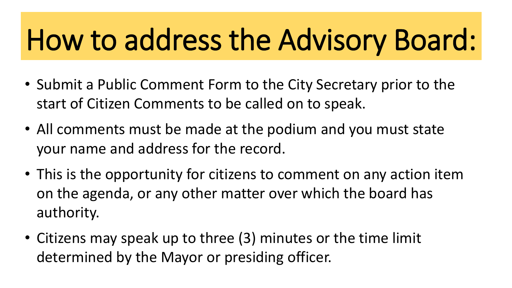# How to address the Advisory Board:

- Submit a Public Comment Form to the City Secretary prior to the start of Citizen Comments to be called on to speak.
- All comments must be made at the podium and you must state your name and address for the record.
- This is the opportunity for citizens to comment on any action item on the agenda, or any other matter over which the board has authority.
- Citizens may speak up to three (3) minutes or the time limit determined by the Mayor or presiding officer.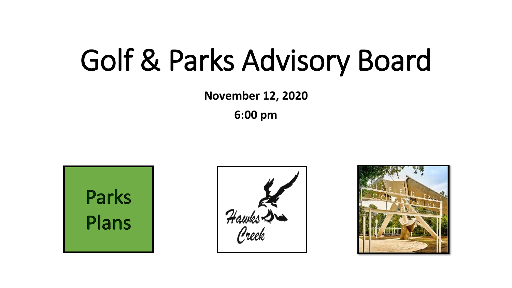### Golf & Parks Advisory Board

**November 12, 2020**

**6:00 pm**





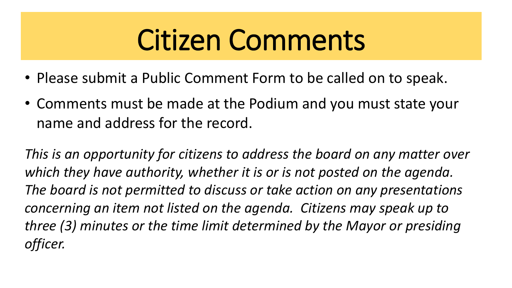## Citizen Comments

- Please submit a Public Comment Form to be called on to speak.
- Comments must be made at the Podium and you must state your name and address for the record.

*This is an opportunity for citizens to address the board on any matter over which they have authority, whether it is or is not posted on the agenda. The board is not permitted to discuss or take action on any presentations concerning an item not listed on the agenda. Citizens may speak up to three (3) minutes or the time limit determined by the Mayor or presiding officer.*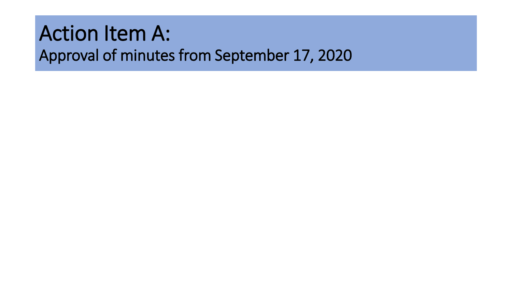### Action Item A: Approval of minutes from September 17, 2020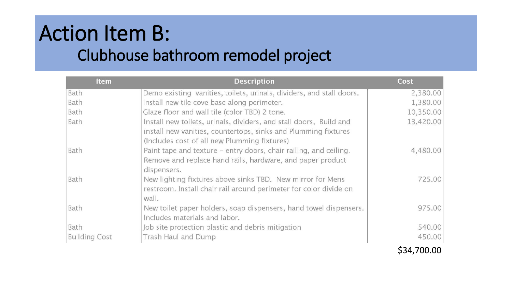### Action Item B: Clubhouse bathroom remodel project

| <b>Item</b>          | <b>Description</b>                                                                                                                                                                   | Cost      |
|----------------------|--------------------------------------------------------------------------------------------------------------------------------------------------------------------------------------|-----------|
| Bath                 | Demo existing vanities, toilets, urinals, dividers, and stall doors.                                                                                                                 | 2,380.00  |
| Bath                 | Install new tile cove base along perimeter.                                                                                                                                          | 1,380.00  |
| Bath                 | Glaze floor and wall tile (color TBD) 2 tone.                                                                                                                                        | 10,350.00 |
| Bath                 | Install new toilets, urinals, dividers, and stall doors, Build and<br>install new vanities, countertops, sinks and Plumming fixtures<br>(Includes cost of all new Plumming fixtures) | 13,420.00 |
| Bath                 | Paint tape and texture – entry doors, chair railing, and ceiling.<br>Remove and replace hand rails, hardware, and paper product<br>dispensers.                                       | 4,480.00  |
| Bath                 | New lighting fixtures above sinks TBD. New mirror for Mens<br>restroom. Install chair rail around perimeter for color divide on<br>wall.                                             | 725.00    |
| Bath                 | New toilet paper holders, soap dispensers, hand towel dispensers.<br>Includes materials and labor.                                                                                   | 975.00    |
| Bath                 | Job site protection plastic and debris mitigation                                                                                                                                    | 540.00    |
| <b>Building Cost</b> | Trash Haul and Dump                                                                                                                                                                  | 450.00    |

\$34,700.00